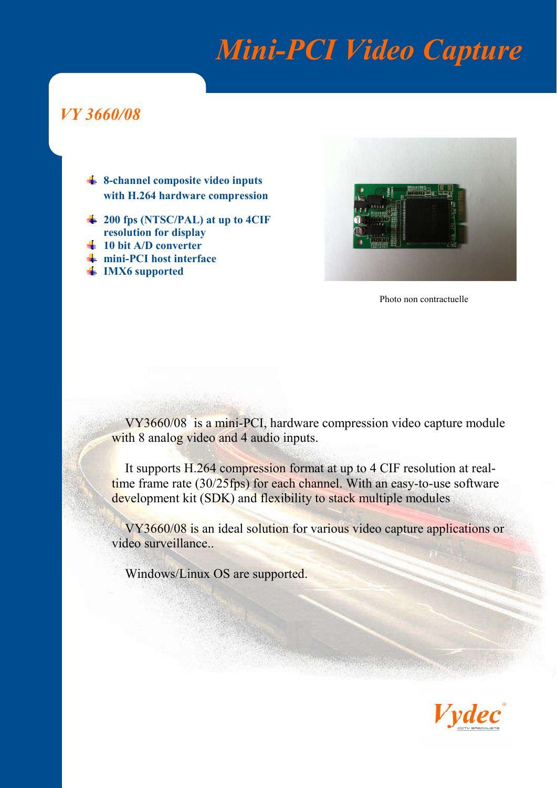## *Mini-PCI Video Capture*

### *VY 3660/08*

- $\div$  **8-channel composite video inputs** with H.264 hardware compression
- 200 fps (NTSC/PAL) at up to 4CIF resolution for display
- $10$  bit A/D converter
- $\blacksquare$  mini-PCI host interface
- **IMX6** supported



Photo non contractuelle

VY3660/08 is a mini-PCI, hardware compression video capture module with 8 analog video and 4 audio inputs.

It supports H.264 compression format at up to 4 CIF resolution at realtime frame rate (30/25fps) for each channel. With an easy-to-use software development kit (SDK) and flexibility to stack multiple modules

VY3660/08 is an ideal solution for various video capture applications or video surveillance..

Windows/Linux OS are supported.